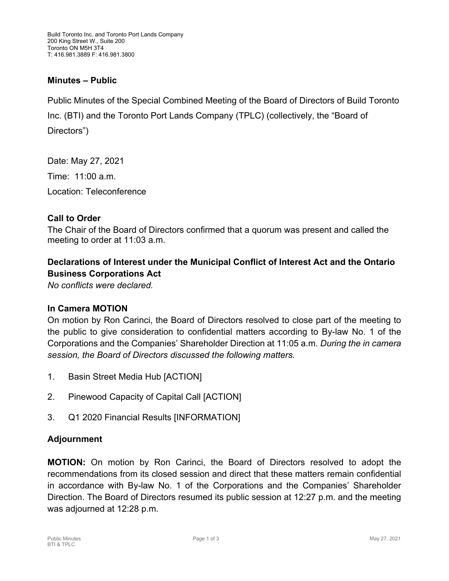### **Minutes – Public**

Public Minutes of the Special Combined Meeting of the Board of Directors of Build Toronto Inc. (BTI) and the Toronto Port Lands Company (TPLC) (collectively, the "Board of Directors")

Date: May 27, 2021 Time: 11:00 a.m. Location: Teleconference

#### **Call to Order**

The Chair of the Board of Directors confirmed that a quorum was present and called the meeting to order at 11:03 a.m.

# **Declarations of Interest under the Municipal Conflict of Interest Act and the Ontario Business Corporations Act**

*No conflicts were declared.* 

### **In Camera MOTION**

On motion by Ron Carinci, the Board of Directors resolved to close part of the meeting to the public to give consideration to confidential matters according to By-law No. 1 of the Corporations and the Companies' Shareholder Direction at 11:05 a.m. *During the in camera session, the Board of Directors discussed the following matters.*

- 1. Basin Street Media Hub [ACTION]
- 2. Pinewood Capacity of Capital Call [ACTION]
- 3. Q1 2020 Financial Results [INFORMATION]

### **Adjournment**

**MOTION:** On motion by Ron Carinci, the Board of Directors resolved to adopt the recommendations from its closed session and direct that these matters remain confidential in accordance with By-law No. 1 of the Corporations and the Companies' Shareholder Direction. The Board of Directors resumed its public session at 12:27 p.m. and the meeting was adjourned at 12:28 p.m.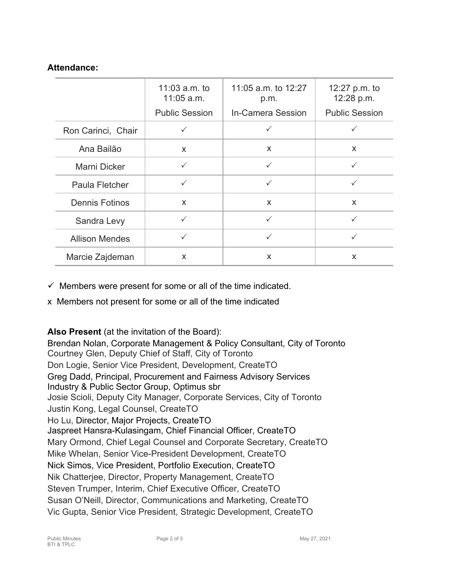## **Attendance:**

|                       | 11:03 $a.m.$ to<br>$11:05$ a.m. | 11:05 a.m. to 12:27<br>p.m. | 12:27 p.m. to<br>12:28 p.m. |
|-----------------------|---------------------------------|-----------------------------|-----------------------------|
|                       | <b>Public Session</b>           | In-Camera Session           | <b>Public Session</b>       |
| Ron Carinci, Chair    | $\checkmark$                    | ✓                           |                             |
| Ana Bailão            | X                               | X                           | X                           |
| Marni Dicker          | $\checkmark$                    | $\checkmark$                |                             |
| Paula Fletcher        | $\checkmark$                    | $\checkmark$                | $\checkmark$                |
| <b>Dennis Fotinos</b> | X                               | X                           | X                           |
| Sandra Levy           | ✓                               | $\checkmark$                | $\checkmark$                |
| <b>Allison Mendes</b> | ✓                               | ✓                           | $\checkmark$                |
| Marcie Zajdeman       | X                               | X                           | X                           |

- $\checkmark$  Members were present for some or all of the time indicated.
- x Members not present for some or all of the time indicated

### **Also Present** (at the invitation of the Board):

Brendan Nolan, Corporate Management & Policy Consultant, City of Toronto Courtney Glen, Deputy Chief of Staff, City of Toronto Don Logie, Senior Vice President, Development, CreateTO Greg Dadd, Principal, Procurement and Fairness Advisory Services Industry & Public Sector Group, Optimus sbr Josie Scioli, Deputy City Manager, Corporate Services, City of Toronto Justin Kong, Legal Counsel, CreateTO Ho Lu, Director, Major Projects, CreateTO Jaspreet Hansra-Kulasingam, Chief Financial Officer, CreateTO Mary Ormond, Chief Legal Counsel and Corporate Secretary, CreateTO Mike Whelan, Senior Vice-President Development, CreateTO Nick Simos, Vice President, Portfolio Execution, CreateTO Nik Chatterjee, Director, Property Management, CreateTO Steven Trumper, Interim, Chief Executive Officer, CreateTO Susan O'Neill, Director, Communications and Marketing, CreateTO Vic Gupta, Senior Vice President, Strategic Development, CreateTO